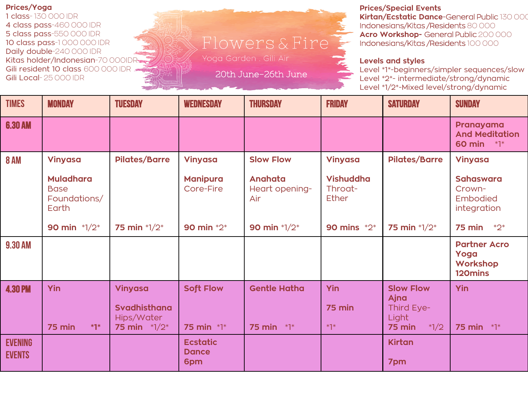**Prices/Yoga**

1 class- 130 000 IDR 4 class pass-460 000 IDR 5 class pass-550 000 IDR 10 class pass-1 000 000 IDR Daily double-240 000 IDR Kitas holder/Indonesian-70 000IDR Gili resident 10 class 600 000 IDR = Gili Local- 25 000 IDR

## Flowers & Fire

Yoga Garden . Gili Air

20th June-26th June

**Prices/Special Events Kirtan/Ecstatic Dance**-General Public 130 000 Indonesians/Kitas /Residents 80 000 **Acro Workshop-** General Public 200 000 Indonesians/Kitas /Residents 100 000

## **Levels and styles**

Level \*1\*-beginners/simpler sequences/slow Level \*2\*- intermediate/strong/dynamic Level \*1/2\*-Mixed level/strong/dynamic

| <b>TIMES</b>                    | <b>MONDAY</b>                                            | <b>TUESDAY</b>                                                 | <b>WEDNESDAY</b>                       | <b>THURSDAY</b>                          | <b>FRIDAY</b>                               | <b>SATURDAY</b>                                                     | <b>SUNDAY</b>                                         |
|---------------------------------|----------------------------------------------------------|----------------------------------------------------------------|----------------------------------------|------------------------------------------|---------------------------------------------|---------------------------------------------------------------------|-------------------------------------------------------|
| <b>6.30 AM</b>                  |                                                          |                                                                |                                        |                                          |                                             |                                                                     | Pranayama<br><b>And Meditation</b><br>60 min *1*      |
| <b>8 AM</b>                     | <b>Vinyasa</b>                                           | <b>Pilates/Barre</b>                                           | <b>Vinyasa</b>                         | <b>Slow Flow</b>                         | <b>Vinyasa</b>                              | <b>Pilates/Barre</b>                                                | Vinyasa                                               |
|                                 | <b>Muladhara</b><br><b>Base</b><br>Foundations/<br>Earth |                                                                | <b>Manipura</b><br>Core-Fire           | Anahata<br>Heart opening-<br>Air         | <b>Vishuddha</b><br>Throat-<br><b>Ether</b> |                                                                     | <b>Sahaswara</b><br>Crown-<br>Embodied<br>integration |
|                                 | 90 min $*1/2*$                                           | 75 min $*1/2*$                                                 | 90 min *2*                             | 90 min *1/2*                             | 90 mins $*2*$                               | 75 min $*1/2*$                                                      | $*2*$<br>75 min                                       |
| <b>9.30 AM</b>                  |                                                          |                                                                |                                        |                                          |                                             |                                                                     | <b>Partner Acro</b><br>Yoga<br>Workshop<br>120mins    |
| <b>4.30 PM</b>                  | Yin<br>75 min<br>$*1*$                                   | Vinyasa<br><b>Svadhisthana</b><br>Hips/Water<br>75 min $*1/2*$ | <b>Soft Flow</b><br><b>75 min</b> *1*  | <b>Gentle Hatha</b><br><b>75 min</b> *1* | Yin<br>75 min<br>$*1*$                      | <b>Slow Flow</b><br>Ajna<br>Third Eye-<br>Light<br>75 min<br>$*1/2$ | Yin<br><b>75 min</b> *1*                              |
| <b>EVENING</b><br><b>EVENTS</b> |                                                          |                                                                | <b>Ecstatic</b><br><b>Dance</b><br>6pm |                                          |                                             | <b>Kirtan</b><br>7pm                                                |                                                       |